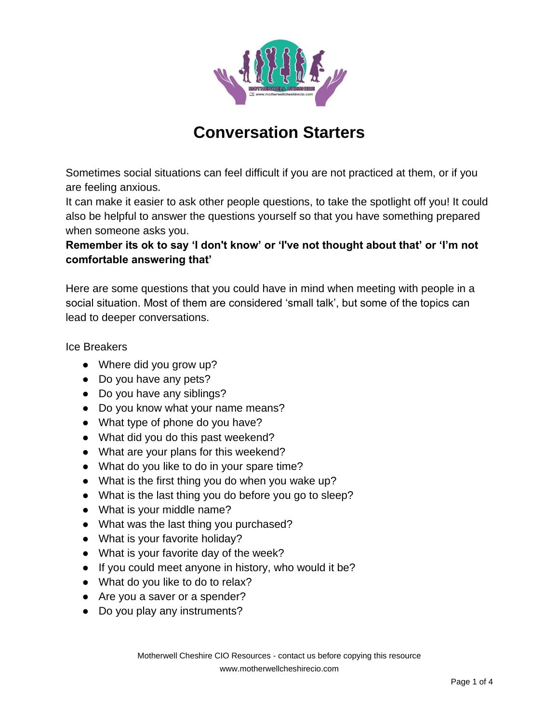

# **Conversation Starters**

Sometimes social situations can feel difficult if you are not practiced at them, or if you are feeling anxious.

It can make it easier to ask other people questions, to take the spotlight off you! It could also be helpful to answer the questions yourself so that you have something prepared when someone asks you.

# **Remember its ok to say 'I don't know' or 'I've not thought about that' or 'I'm not comfortable answering that'**

Here are some questions that you could have in mind when meeting with people in a social situation. Most of them are considered 'small talk', but some of the topics can lead to deeper conversations.

Ice Breakers

- Where did you grow up?
- Do you have any pets?
- Do you have any siblings?
- Do you know what your name means?
- What type of phone do you have?
- What did you do this past weekend?
- What are your plans for this weekend?
- What do you like to do in your spare time?
- What is the first thing you do when you wake up?
- What is the last thing you do before you go to sleep?
- What is your middle name?
- What was the last thing you purchased?
- What is your favorite holiday?
- What is your favorite day of the week?
- If you could meet anyone in history, who would it be?
- What do you like to do to relax?
- Are you a saver or a spender?
- Do you play any instruments?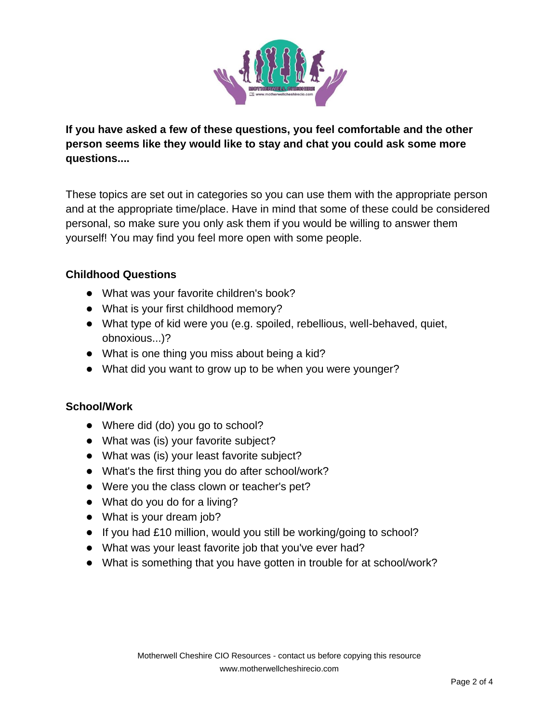

**If you have asked a few of these questions, you feel comfortable and the other person seems like they would like to stay and chat you could ask some more questions....**

These topics are set out in categories so you can use them with the appropriate person and at the appropriate time/place. Have in mind that some of these could be considered personal, so make sure you only ask them if you would be willing to answer them yourself! You may find you feel more open with some people.

# **Childhood Questions**

- What was your favorite children's book?
- What is your first childhood memory?
- What type of kid were you (e.g. spoiled, rebellious, well-behaved, quiet, obnoxious...)?
- What is one thing you miss about being a kid?
- What did you want to grow up to be when you were younger?

#### **School/Work**

- Where did (do) you go to school?
- What was (is) your favorite subject?
- What was (is) your least favorite subject?
- What's the first thing you do after school/work?
- Were you the class clown or teacher's pet?
- What do you do for a living?
- What is your dream job?
- If you had £10 million, would you still be working/going to school?
- What was your least favorite job that you've ever had?
- What is something that you have gotten in trouble for at school/work?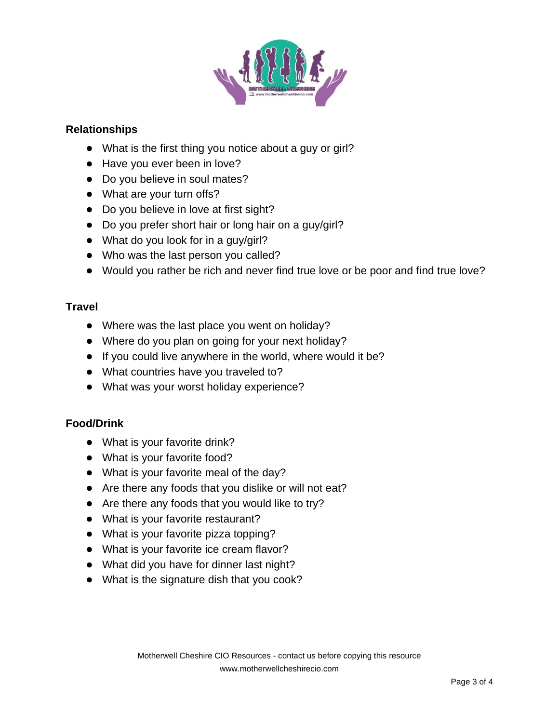

### **Relationships**

- What is the first thing you notice about a guy or girl?
- Have you ever been in love?
- Do you believe in soul mates?
- What are your turn offs?
- Do you believe in love at first sight?
- Do you prefer short hair or long hair on a guy/girl?
- What do you look for in a guy/girl?
- Who was the last person you called?
- Would you rather be rich and never find true love or be poor and find true love?

# **Travel**

- Where was the last place you went on holiday?
- Where do you plan on going for your next holiday?
- If you could live anywhere in the world, where would it be?
- What countries have you traveled to?
- What was your worst holiday experience?

# **Food/Drink**

- What is your favorite drink?
- What is your favorite food?
- What is your favorite meal of the day?
- Are there any foods that you dislike or will not eat?
- Are there any foods that you would like to try?
- What is your favorite restaurant?
- What is your favorite pizza topping?
- What is your favorite ice cream flavor?
- What did you have for dinner last night?
- What is the signature dish that you cook?